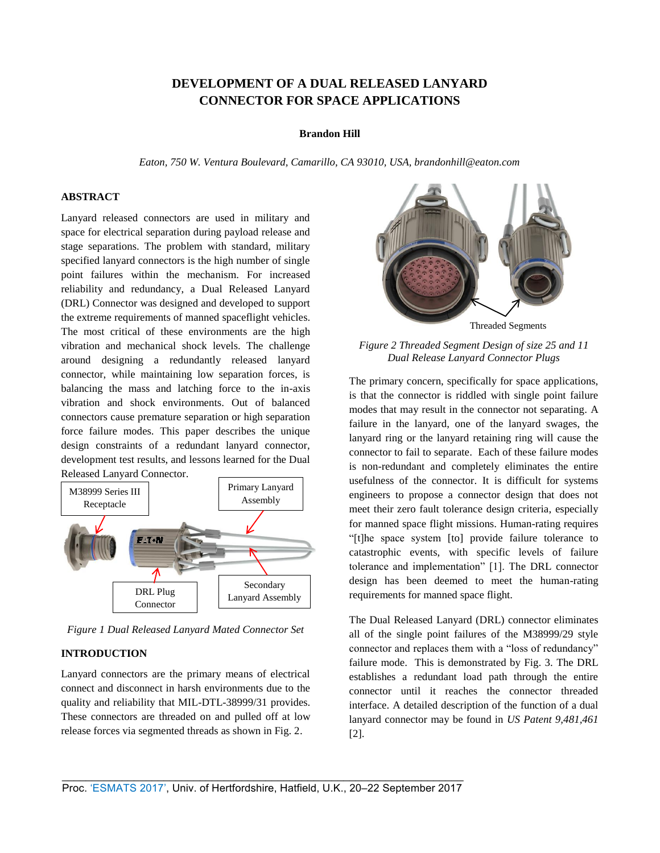# **DEVELOPMENT OF A DUAL RELEASED LANYARD CONNECTOR FOR SPACE APPLICATIONS**

#### **Brandon Hill**

*Eaton, 750 W. Ventura Boulevard, Camarillo, CA 93010, USA, brandonhill@eaton.com* 

## **ABSTRACT**

Lanyard released connectors are used in military and space for electrical separation during payload release and stage separations. The problem with standard, military specified lanyard connectors is the high number of single point failures within the mechanism. For increased reliability and redundancy, a Dual Released Lanyard (DRL) Connector was designed and developed to support the extreme requirements of manned spaceflight vehicles. The most critical of these environments are the high vibration and mechanical shock levels. The challenge around designing a redundantly released lanyard connector, while maintaining low separation forces, is balancing the mass and latching force to the in-axis vibration and shock environments. Out of balanced connectors cause premature separation or high separation force failure modes. This paper describes the unique design constraints of a redundant lanyard connector, development test results, and lessons learned for the Dual Released Lanyard Connector.



*Figure 1 Dual Released Lanyard Mated Connector Set* 

# **INTRODUCTION**

Lanyard connectors are the primary means of electrical connect and disconnect in harsh environments due to the quality and reliability that MIL-DTL-38999/31 provides. These connectors are threaded on and pulled off at low release forces via segmented threads as shown in Fig. 2.



*Figure 2 Threaded Segment Design of size 25 and 11 Dual Release Lanyard Connector Plugs* 

The primary concern, specifically for space applications, is that the connector is riddled with single point failure modes that may result in the connector not separating. A failure in the lanyard, one of the lanyard swages, the lanyard ring or the lanyard retaining ring will cause the connector to fail to separate. Each of these failure modes is non-redundant and completely eliminates the entire usefulness of the connector. It is difficult for systems engineers to propose a connector design that does not meet their zero fault tolerance design criteria, especially for manned space flight missions. Human-rating requires "[t]he space system [to] provide failure tolerance to catastrophic events, with specific levels of failure tolerance and implementation" [1]. The DRL connector design has been deemed to meet the human-rating requirements for manned space flight.

The Dual Released Lanyard (DRL) connector eliminates all of the single point failures of the M38999/29 style connector and replaces them with a "loss of redundancy" failure mode. This is demonstrated by Fig. 3. The DRL establishes a redundant load path through the entire connector until it reaches the connector threaded interface. A detailed description of the function of a dual lanyard connector may be found in *US Patent 9,481,461* [2].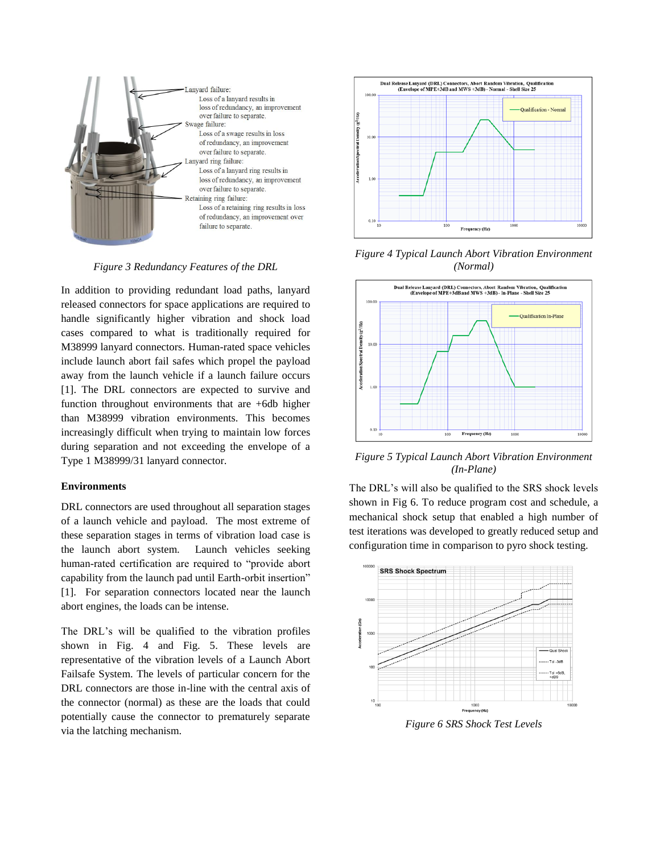

*Figure 3 Redundancy Features of the DRL*

In addition to providing redundant load paths, lanyard released connectors for space applications are required to handle significantly higher vibration and shock load cases compared to what is traditionally required for M38999 lanyard connectors. Human-rated space vehicles include launch abort fail safes which propel the payload away from the launch vehicle if a launch failure occurs [1]. The DRL connectors are expected to survive and function throughout environments that are +6db higher than M38999 vibration environments. This becomes increasingly difficult when trying to maintain low forces during separation and not exceeding the envelope of a Type 1 M38999/31 lanyard connector.

#### **Environments**

DRL connectors are used throughout all separation stages of a launch vehicle and payload. The most extreme of these separation stages in terms of vibration load case is the launch abort system. Launch vehicles seeking human-rated certification are required to "provide abort capability from the launch pad until Earth-orbit insertion" [1]. For separation connectors located near the launch abort engines, the loads can be intense.

The DRL's will be qualified to the vibration profiles shown in Fig. 4 and Fig. 5. These levels are representative of the vibration levels of a Launch Abort Failsafe System. The levels of particular concern for the DRL connectors are those in-line with the central axis of the connector (normal) as these are the loads that could potentially cause the connector to prematurely separate via the latching mechanism.



*Figure 4 Typical Launch Abort Vibration Environment (Normal)*



*Figure 5 Typical Launch Abort Vibration Environment (In-Plane)*

The DRL's will also be qualified to the SRS shock levels shown in Fig 6. To reduce program cost and schedule, a mechanical shock setup that enabled a high number of test iterations was developed to greatly reduced setup and configuration time in comparison to pyro shock testing.



*Figure 6 SRS Shock Test Levels*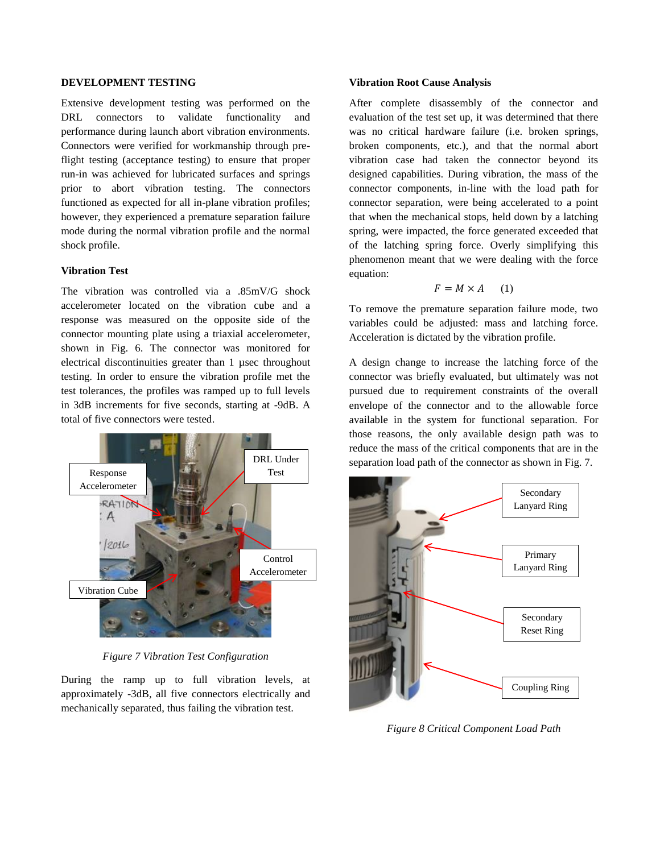### **DEVELOPMENT TESTING**

Extensive development testing was performed on the DRL connectors to validate functionality and performance during launch abort vibration environments. Connectors were verified for workmanship through preflight testing (acceptance testing) to ensure that proper run-in was achieved for lubricated surfaces and springs prior to abort vibration testing. The connectors functioned as expected for all in-plane vibration profiles; however, they experienced a premature separation failure mode during the normal vibration profile and the normal shock profile.

#### **Vibration Test**

The vibration was controlled via a .85mV/G shock accelerometer located on the vibration cube and a response was measured on the opposite side of the connector mounting plate using a triaxial accelerometer, shown in Fig. 6. The connector was monitored for electrical discontinuities greater than 1 µsec throughout testing. In order to ensure the vibration profile met the test tolerances, the profiles was ramped up to full levels in 3dB increments for five seconds, starting at -9dB. A total of five connectors were tested.



*Figure 7 Vibration Test Configuration*

During the ramp up to full vibration levels, at approximately -3dB, all five connectors electrically and mechanically separated, thus failing the vibration test.

# **Vibration Root Cause Analysis**

After complete disassembly of the connector and evaluation of the test set up, it was determined that there was no critical hardware failure (i.e. broken springs, broken components, etc.), and that the normal abort vibration case had taken the connector beyond its designed capabilities. During vibration, the mass of the connector components, in-line with the load path for connector separation, were being accelerated to a point that when the mechanical stops, held down by a latching spring, were impacted, the force generated exceeded that of the latching spring force. Overly simplifying this phenomenon meant that we were dealing with the force equation:

$$
F = M \times A \qquad (1)
$$

To remove the premature separation failure mode, two variables could be adjusted: mass and latching force. Acceleration is dictated by the vibration profile.

A design change to increase the latching force of the connector was briefly evaluated, but ultimately was not pursued due to requirement constraints of the overall envelope of the connector and to the allowable force available in the system for functional separation. For those reasons, the only available design path was to reduce the mass of the critical components that are in the separation load path of the connector as shown in Fig. 7.



*Figure 8 Critical Component Load Path*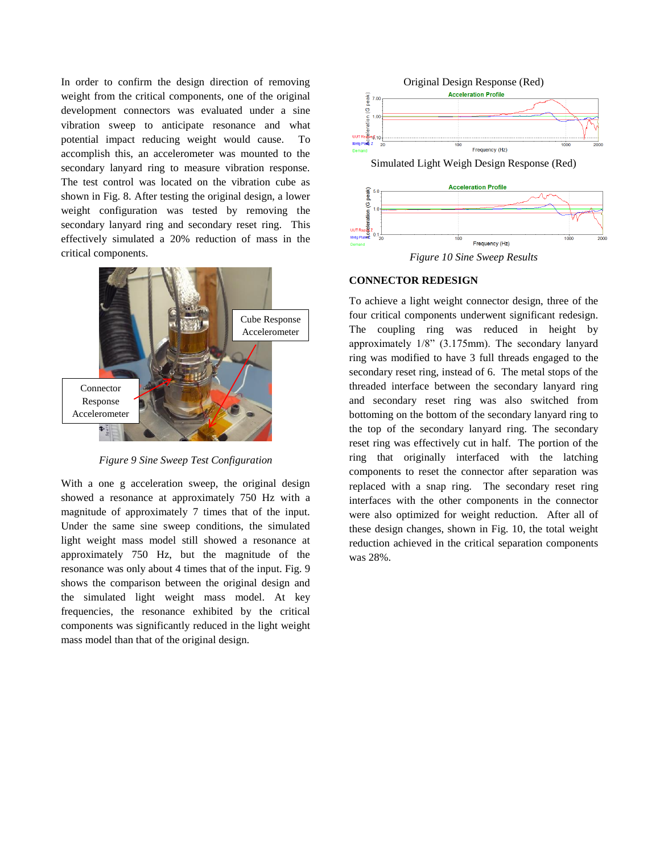In order to confirm the design direction of removing weight from the critical components, one of the original development connectors was evaluated under a sine vibration sweep to anticipate resonance and what potential impact reducing weight would cause. To accomplish this, an accelerometer was mounted to the secondary lanyard ring to measure vibration response. The test control was located on the vibration cube as shown in Fig. 8. After testing the original design, a lower weight configuration was tested by removing the secondary lanyard ring and secondary reset ring. This effectively simulated a 20% reduction of mass in the critical components.



*Figure 9 Sine Sweep Test Configuration*

With a one g acceleration sweep, the original design showed a resonance at approximately 750 Hz with a magnitude of approximately 7 times that of the input. Under the same sine sweep conditions, the simulated light weight mass model still showed a resonance at approximately 750 Hz, but the magnitude of the resonance was only about 4 times that of the input. Fig. 9 shows the comparison between the original design and the simulated light weight mass model. At key frequencies, the resonance exhibited by the critical components was significantly reduced in the light weight mass model than that of the original design.



*Figure 10 Sine Sweep Results*

## **CONNECTOR REDESIGN**

To achieve a light weight connector design, three of the four critical components underwent significant redesign. The coupling ring was reduced in height by approximately 1/8" (3.175mm). The secondary lanyard ring was modified to have 3 full threads engaged to the secondary reset ring, instead of 6. The metal stops of the threaded interface between the secondary lanyard ring and secondary reset ring was also switched from bottoming on the bottom of the secondary lanyard ring to the top of the secondary lanyard ring. The secondary reset ring was effectively cut in half. The portion of the ring that originally interfaced with the latching components to reset the connector after separation was replaced with a snap ring. The secondary reset ring interfaces with the other components in the connector were also optimized for weight reduction. After all of these design changes, shown in Fig. 10, the total weight reduction achieved in the critical separation components was 28%.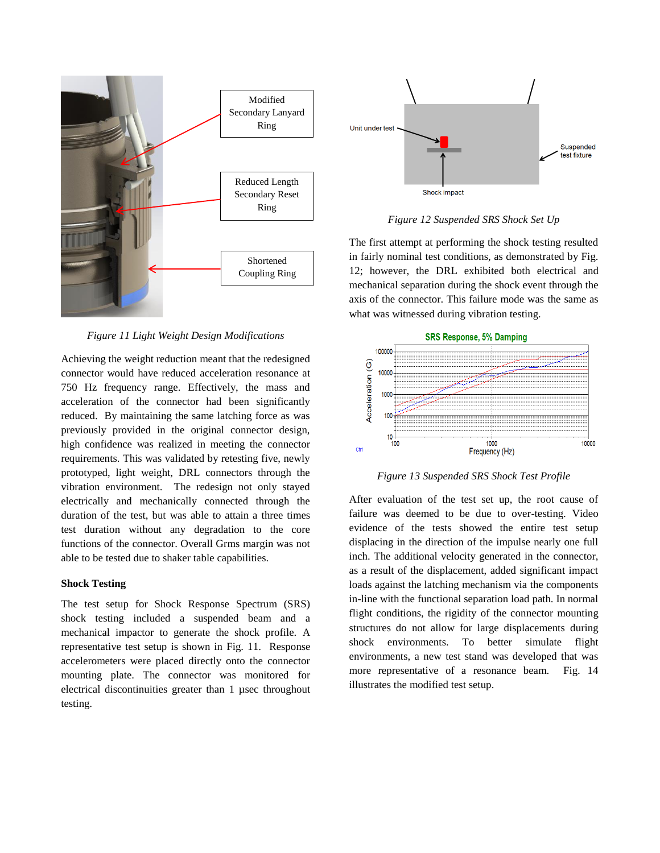

*Figure 11 Light Weight Design Modifications*

Achieving the weight reduction meant that the redesigned connector would have reduced acceleration resonance at 750 Hz frequency range. Effectively, the mass and acceleration of the connector had been significantly reduced. By maintaining the same latching force as was previously provided in the original connector design, high confidence was realized in meeting the connector requirements. This was validated by retesting five, newly prototyped, light weight, DRL connectors through the vibration environment. The redesign not only stayed electrically and mechanically connected through the duration of the test, but was able to attain a three times test duration without any degradation to the core functions of the connector. Overall Grms margin was not able to be tested due to shaker table capabilities.

### **Shock Testing**

The test setup for Shock Response Spectrum (SRS) shock testing included a suspended beam and a mechanical impactor to generate the shock profile. A representative test setup is shown in Fig. 11. Response accelerometers were placed directly onto the connector mounting plate. The connector was monitored for electrical discontinuities greater than 1 µsec throughout testing.



*Figure 12 Suspended SRS Shock Set Up*

The first attempt at performing the shock testing resulted in fairly nominal test conditions, as demonstrated by Fig. 12; however, the DRL exhibited both electrical and mechanical separation during the shock event through the axis of the connector. This failure mode was the same as what was witnessed during vibration testing.



*Figure 13 Suspended SRS Shock Test Profile*

After evaluation of the test set up, the root cause of failure was deemed to be due to over-testing. Video evidence of the tests showed the entire test setup displacing in the direction of the impulse nearly one full inch. The additional velocity generated in the connector, as a result of the displacement, added significant impact loads against the latching mechanism via the components in-line with the functional separation load path. In normal flight conditions, the rigidity of the connector mounting structures do not allow for large displacements during shock environments. To better simulate flight environments, a new test stand was developed that was more representative of a resonance beam. Fig. 14 illustrates the modified test setup.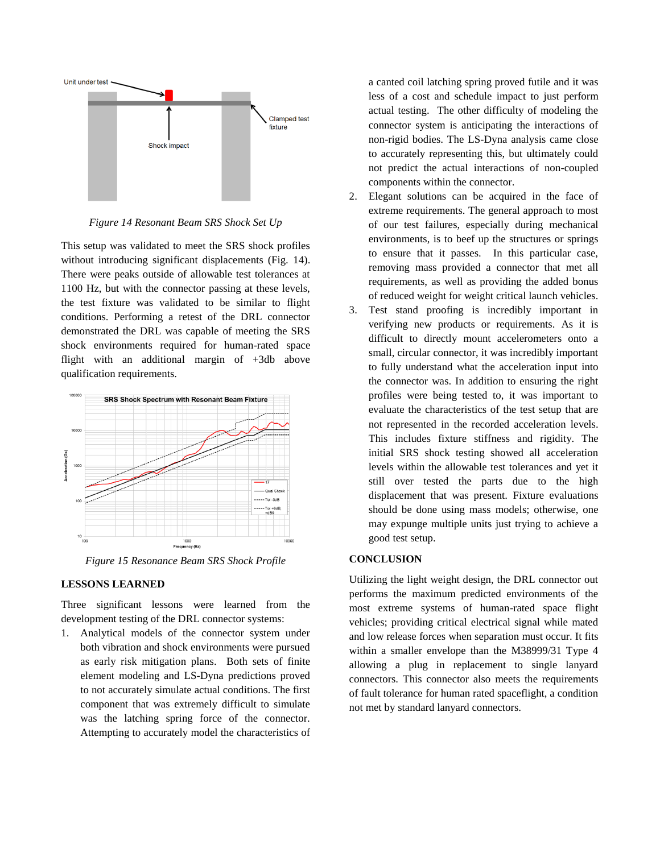

*Figure 14 Resonant Beam SRS Shock Set Up*

This setup was validated to meet the SRS shock profiles without introducing significant displacements (Fig. 14). There were peaks outside of allowable test tolerances at 1100 Hz, but with the connector passing at these levels, the test fixture was validated to be similar to flight conditions. Performing a retest of the DRL connector demonstrated the DRL was capable of meeting the SRS shock environments required for human-rated space flight with an additional margin of +3db above qualification requirements.



*Figure 15 Resonance Beam SRS Shock Profile*

#### **LESSONS LEARNED**

Three significant lessons were learned from the development testing of the DRL connector systems:

1. Analytical models of the connector system under both vibration and shock environments were pursued as early risk mitigation plans. Both sets of finite element modeling and LS-Dyna predictions proved to not accurately simulate actual conditions. The first component that was extremely difficult to simulate was the latching spring force of the connector. Attempting to accurately model the characteristics of

a canted coil latching spring proved futile and it was less of a cost and schedule impact to just perform actual testing. The other difficulty of modeling the connector system is anticipating the interactions of non-rigid bodies. The LS-Dyna analysis came close to accurately representing this, but ultimately could not predict the actual interactions of non-coupled components within the connector.

- 2. Elegant solutions can be acquired in the face of extreme requirements. The general approach to most of our test failures, especially during mechanical environments, is to beef up the structures or springs to ensure that it passes. In this particular case, removing mass provided a connector that met all requirements, as well as providing the added bonus of reduced weight for weight critical launch vehicles.
- 3. Test stand proofing is incredibly important in verifying new products or requirements. As it is difficult to directly mount accelerometers onto a small, circular connector, it was incredibly important to fully understand what the acceleration input into the connector was. In addition to ensuring the right profiles were being tested to, it was important to evaluate the characteristics of the test setup that are not represented in the recorded acceleration levels. This includes fixture stiffness and rigidity. The initial SRS shock testing showed all acceleration levels within the allowable test tolerances and yet it still over tested the parts due to the high displacement that was present. Fixture evaluations should be done using mass models; otherwise, one may expunge multiple units just trying to achieve a good test setup.

# **CONCLUSION**

Utilizing the light weight design, the DRL connector out performs the maximum predicted environments of the most extreme systems of human-rated space flight vehicles; providing critical electrical signal while mated and low release forces when separation must occur. It fits within a smaller envelope than the M38999/31 Type 4 allowing a plug in replacement to single lanyard connectors. This connector also meets the requirements of fault tolerance for human rated spaceflight, a condition not met by standard lanyard connectors.